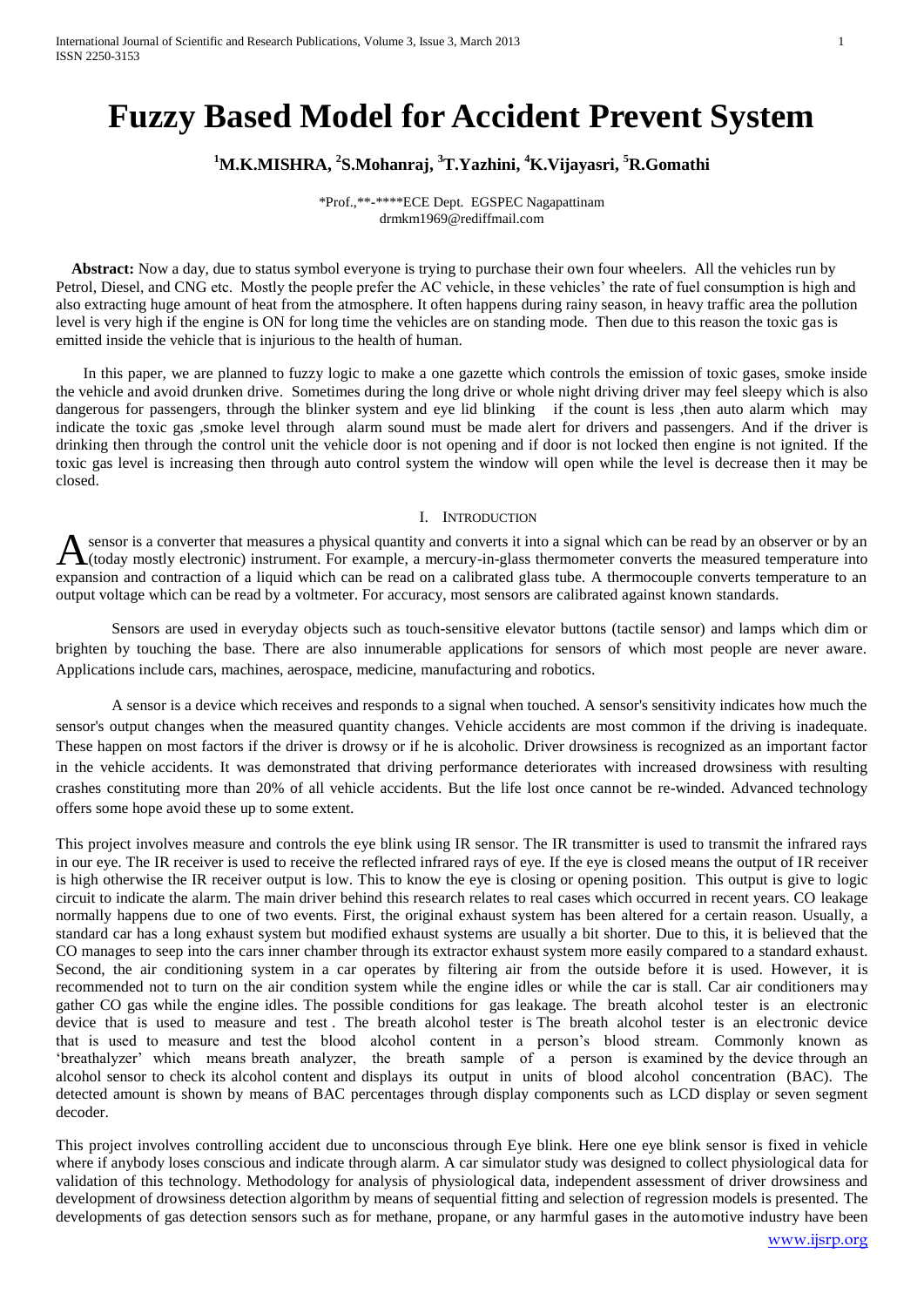# **Fuzzy Based Model for Accident Prevent System**

## **<sup>1</sup>M.K.MISHRA, <sup>2</sup> S.Mohanraj, <sup>3</sup>T.Yazhini, <sup>4</sup>K.Vijayasri, <sup>5</sup>R.Gomathi**

\*Prof.,\*\*-\*\*\*\*ECE Dept. EGSPEC Nagapattinam drmkm1969@rediffmail.com

 **Abstract:** Now a day, due to status symbol everyone is trying to purchase their own four wheelers. All the vehicles run by Petrol, Diesel, and CNG etc. Mostly the people prefer the AC vehicle, in these vehicles" the rate of fuel consumption is high and also extracting huge amount of heat from the atmosphere. It often happens during rainy season, in heavy traffic area the pollution level is very high if the engine is ON for long time the vehicles are on standing mode. Then due to this reason the toxic gas is emitted inside the vehicle that is injurious to the health of human.

 In this paper, we are planned to fuzzy logic to make a one gazette which controls the emission of toxic gases, smoke inside the vehicle and avoid drunken drive. Sometimes during the long drive or whole night driving driver may feel sleepy which is also dangerous for passengers, through the blinker system and eye lid blinking if the count is less ,then auto alarm which may indicate the toxic gas ,smoke level through alarm sound must be made alert for drivers and passengers. And if the driver is drinking then through the control unit the vehicle door is not opening and if door is not locked then engine is not ignited. If the toxic gas level is increasing then through auto control system the window will open while the level is decrease then it may be closed.

#### I. INTRODUCTION

sensor is a converter that measures a physical quantity and converts it into a signal which can be read by an observer or by an A sensor is a converter that measures a physical quantity and converts it into a signal which can be read by an observer or by an  $\Lambda$  (today mostly electronic) instrument. For example, a mercury-in-glass thermometer conve expansion and contraction of a liquid which can be read on a calibrated glass tube. A thermocouple converts temperature to an output voltage which can be read by a voltmeter. For accuracy, most sensors are calibrated against known standards.

Sensors are used in everyday objects such as touch-sensitive elevator buttons (tactile sensor) and lamps which dim or brighten by touching the base. There are also innumerable applications for sensors of which most people are never aware. Applications include cars, machines, aerospace, medicine, manufacturing and robotics.

A sensor is a device which receives and responds to a signal when touched. A sensor's sensitivity indicates how much the sensor's output changes when the measured quantity changes. Vehicle accidents are most common if the driving is inadequate. These happen on most factors if the driver is drowsy or if he is alcoholic. Driver drowsiness is recognized as an important factor in the vehicle accidents. It was demonstrated that driving performance deteriorates with increased drowsiness with resulting crashes constituting more than 20% of all vehicle accidents. But the life lost once cannot be re-winded. Advanced technology offers some hope avoid these up to some extent.

This project involves measure and controls the eye blink using IR sensor. The IR transmitter is used to transmit the infrared rays in our eye. The IR receiver is used to receive the reflected infrared rays of eye. If the eye is closed means the output of IR receiver is high otherwise the IR receiver output is low. This to know the eye is closing or opening position. This output is give to logic circuit to indicate the alarm. The main driver behind this research relates to real cases which occurred in recent years. CO leakage normally happens due to one of two events. First, the original exhaust system has been altered for a certain reason. Usually, a standard car has a long exhaust system but modified exhaust systems are usually a bit shorter. Due to this, it is believed that the CO manages to seep into the cars inner chamber through its extractor exhaust system more easily compared to a standard exhaust. Second, the air conditioning system in a car operates by filtering air from the outside before it is used. However, it is recommended not to turn on the air condition system while the engine idles or while the car is stall. Car air conditioners may gather CO gas while the engine idles. The possible conditions for gas leakage. The breath alcohol tester is an electronic device that is used to measure and test. The breath alcohol tester is The breath alcohol tester is an electronic device that is used to measure and test the blood alcohol content in a person"s blood stream. Commonly known as "breathalyzer" which means breath analyzer, the breath sample of a person is examined by the device through an alcohol sensor to check its alcohol content and displays its output in units of blood alcohol concentration (BAC). The detected amount is shown by means of BAC percentages through display components such as LCD display or seven segment decoder.

This project involves controlling accident due to unconscious through Eye blink. Here one eye blink sensor is fixed in vehicle where if anybody loses conscious and indicate through alarm. A car simulator study was designed to collect physiological data for validation of this technology. Methodology for analysis of physiological data, independent assessment of driver drowsiness and development of drowsiness detection algorithm by means of sequential fitting and selection of regression models is presented. The developments of gas detection sensors such as for methane, propane, or any harmful gases in the automotive industry have been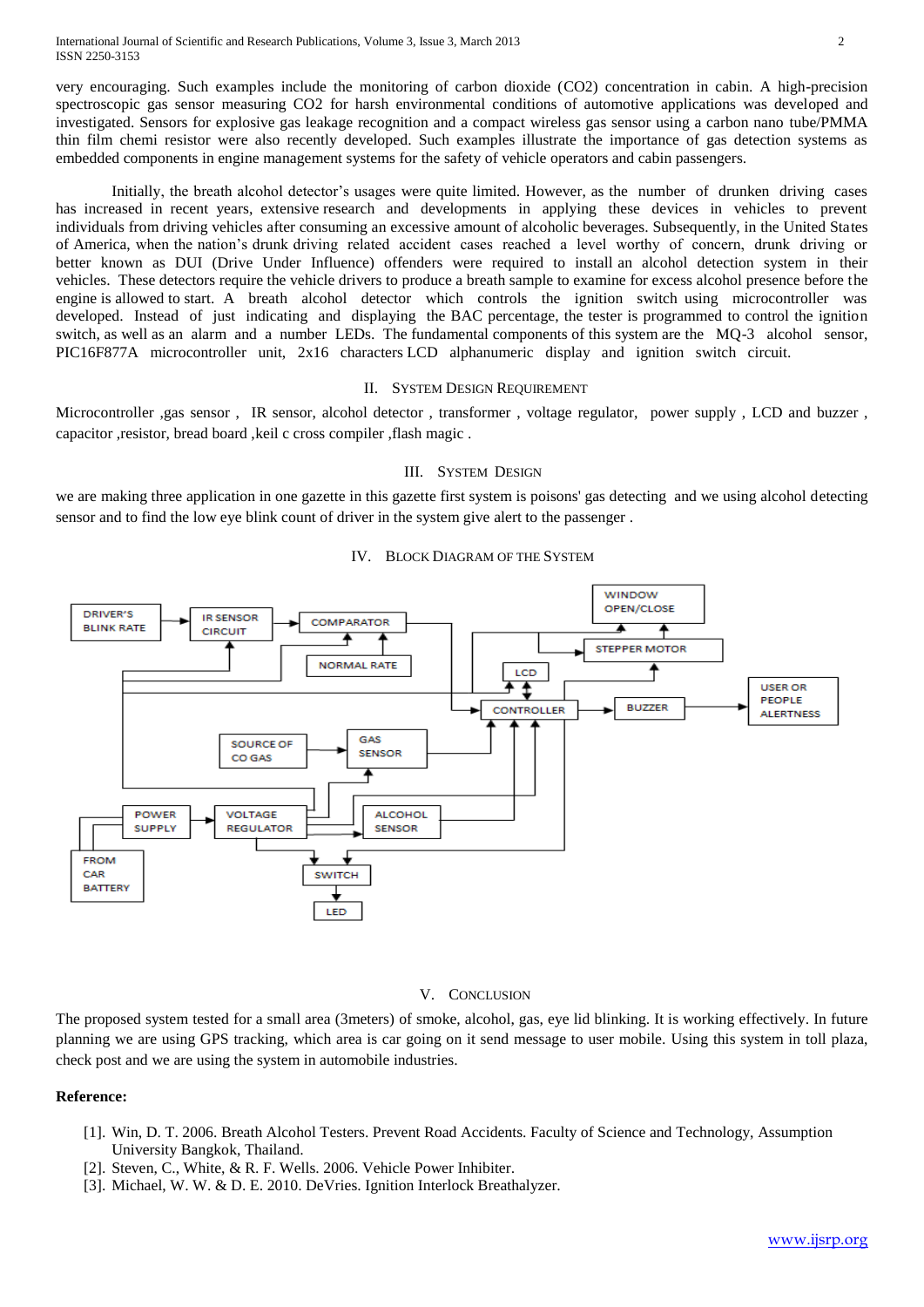very encouraging. Such examples include the monitoring of carbon dioxide (CO2) concentration in cabin. A high-precision spectroscopic gas sensor measuring CO2 for harsh environmental conditions of automotive applications was developed and investigated. Sensors for explosive gas leakage recognition and a compact wireless gas sensor using a carbon nano tube/PMMA thin film chemi resistor were also recently developed. Such examples illustrate the importance of gas detection systems as embedded components in engine management systems for the safety of vehicle operators and cabin passengers.

Initially, the breath alcohol detector's usages were quite limited. However, as the number of drunken driving cases has increased in recent years, extensive research and developments in applying these devices in vehicles to prevent individuals from driving vehicles after consuming an excessive amount of alcoholic beverages. Subsequently, in the United States of America, when the nation"s drunk driving related accident cases reached a level worthy of concern, drunk driving or better known as DUI (Drive Under Influence) offenders were required to install an alcohol detection system in their vehicles. These detectors require the vehicle drivers to produce a breath sample to examine for excess alcohol presence before the engine is allowed to start. A breath alcohol detector which controls the ignition switch using microcontroller was developed. Instead of just indicating and displaying the BAC percentage, the tester is programmed to control the ignition switch, as well as an alarm and a number LEDs. The fundamental components of this system are the MQ-3 alcohol sensor, PIC16F877A microcontroller unit, 2x16 characters LCD alphanumeric display and ignition switch circuit.

#### II. SYSTEM DESIGN REQUIREMENT

Microcontroller ,gas sensor, IR sensor, alcohol detector, transformer, voltage regulator, power supply, LCD and buzzer, capacitor ,resistor, bread board ,keil c cross compiler ,flash magic .

#### III. SYSTEM DESIGN

we are making three application in one gazette in this gazette first system is poisons' gas detecting and we using alcohol detecting sensor and to find the low eye blink count of driver in the system give alert to the passenger .



#### IV. BLOCK DIAGRAM OF THE SYSTEM

### V. CONCLUSION

The proposed system tested for a small area (3meters) of smoke, alcohol, gas, eye lid blinking. It is working effectively. In future planning we are using GPS tracking, which area is car going on it send message to user mobile. Using this system in toll plaza, check post and we are using the system in automobile industries.

#### **Reference:**

- [1]. Win, D. T. 2006. Breath Alcohol Testers. Prevent Road Accidents. Faculty of Science and Technology, Assumption University Bangkok, Thailand.
- [2]. Steven, C., White, & R. F. Wells. 2006. Vehicle Power Inhibiter.
- [3]. Michael, W. W. & D. E. 2010. DeVries. Ignition Interlock Breathalyzer.